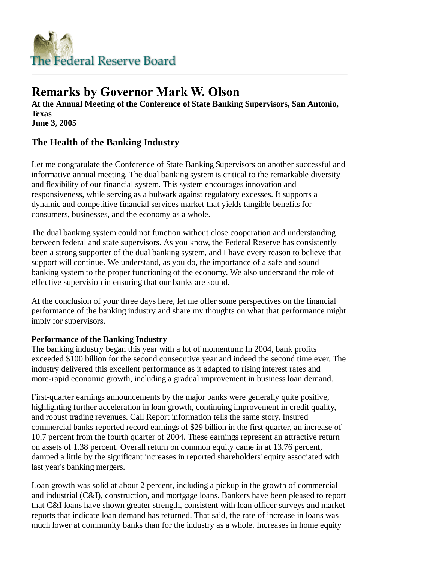

# **Remarks by Governor Mark W. Olson**

**At the Annual Meeting of the Conference of State Banking Supervisors, San Antonio, Texas June 3, 2005**

## **The Health of the Banking Industry**

Let me congratulate the Conference of State Banking Supervisors on another successful and informative annual meeting. The dual banking system is critical to the remarkable diversity and flexibility of our financial system. This system encourages innovation and responsiveness, while serving as a bulwark against regulatory excesses. It supports a dynamic and competitive financial services market that yields tangible benefits for consumers, businesses, and the economy as a whole.

The dual banking system could not function without close cooperation and understanding between federal and state supervisors. As you know, the Federal Reserve has consistently been a strong supporter of the dual banking system, and I have every reason to believe that support will continue. We understand, as you do, the importance of a safe and sound banking system to the proper functioning of the economy. We also understand the role of effective supervision in ensuring that our banks are sound.

At the conclusion of your three days here, let me offer some perspectives on the financial performance of the banking industry and share my thoughts on what that performance might imply for supervisors.

### **Performance of the Banking Industry**

The banking industry began this year with a lot of momentum: In 2004, bank profits exceeded \$100 billion for the second consecutive year and indeed the second time ever. The industry delivered this excellent performance as it adapted to rising interest rates and more-rapid economic growth, including a gradual improvement in business loan demand.

First-quarter earnings announcements by the major banks were generally quite positive, highlighting further acceleration in loan growth, continuing improvement in credit quality, and robust trading revenues. Call Report information tells the same story. Insured commercial banks reported record earnings of \$29 billion in the first quarter, an increase of 10.7 percent from the fourth quarter of 2004. These earnings represent an attractive return on assets of 1.38 percent. Overall return on common equity came in at 13.76 percent, damped a little by the significant increases in reported shareholders' equity associated with last year's banking mergers.

Loan growth was solid at about 2 percent, including a pickup in the growth of commercial and industrial (C&I), construction, and mortgage loans. Bankers have been pleased to report that C&I loans have shown greater strength, consistent with loan officer surveys and market reports that indicate loan demand has returned. That said, the rate of increase in loans was much lower at community banks than for the industry as a whole. Increases in home equity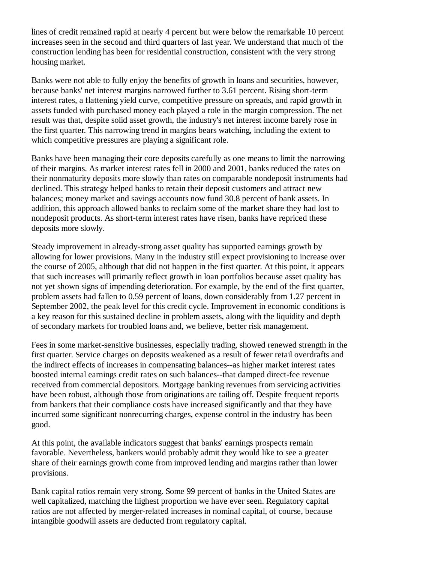lines of credit remained rapid at nearly 4 percent but were below the remarkable 10 percent increases seen in the second and third quarters of last year. We understand that much of the construction lending has been for residential construction, consistent with the very strong housing market.

Banks were not able to fully enjoy the benefits of growth in loans and securities, however, because banks' net interest margins narrowed further to 3.61 percent. Rising short-term interest rates, a flattening yield curve, competitive pressure on spreads, and rapid growth in assets funded with purchased money each played a role in the margin compression. The net result was that, despite solid asset growth, the industry's net interest income barely rose in the first quarter. This narrowing trend in margins bears watching, including the extent to which competitive pressures are playing a significant role.

Banks have been managing their core deposits carefully as one means to limit the narrowing of their margins. As market interest rates fell in 2000 and 2001, banks reduced the rates on their nonmaturity deposits more slowly than rates on comparable nondeposit instruments had declined. This strategy helped banks to retain their deposit customers and attract new balances; money market and savings accounts now fund 30.8 percent of bank assets. In addition, this approach allowed banks to reclaim some of the market share they had lost to nondeposit products. As short-term interest rates have risen, banks have repriced these deposits more slowly.

Steady improvement in already-strong asset quality has supported earnings growth by allowing for lower provisions. Many in the industry still expect provisioning to increase over the course of 2005, although that did not happen in the first quarter. At this point, it appears that such increases will primarily reflect growth in loan portfolios because asset quality has not yet shown signs of impending deterioration. For example, by the end of the first quarter, problem assets had fallen to 0.59 percent of loans, down considerably from 1.27 percent in September 2002, the peak level for this credit cycle. Improvement in economic conditions is a key reason for this sustained decline in problem assets, along with the liquidity and depth of secondary markets for troubled loans and, we believe, better risk management.

Fees in some market-sensitive businesses, especially trading, showed renewed strength in the first quarter. Service charges on deposits weakened as a result of fewer retail overdrafts and the indirect effects of increases in compensating balances--as higher market interest rates boosted internal earnings credit rates on such balances--that damped direct-fee revenue received from commercial depositors. Mortgage banking revenues from servicing activities have been robust, although those from originations are tailing off. Despite frequent reports from bankers that their compliance costs have increased significantly and that they have incurred some significant nonrecurring charges, expense control in the industry has been good.

At this point, the available indicators suggest that banks' earnings prospects remain favorable. Nevertheless, bankers would probably admit they would like to see a greater share of their earnings growth come from improved lending and margins rather than lower provisions.

Bank capital ratios remain very strong. Some 99 percent of banks in the United States are well capitalized, matching the highest proportion we have ever seen. Regulatory capital ratios are not affected by merger-related increases in nominal capital, of course, because intangible goodwill assets are deducted from regulatory capital.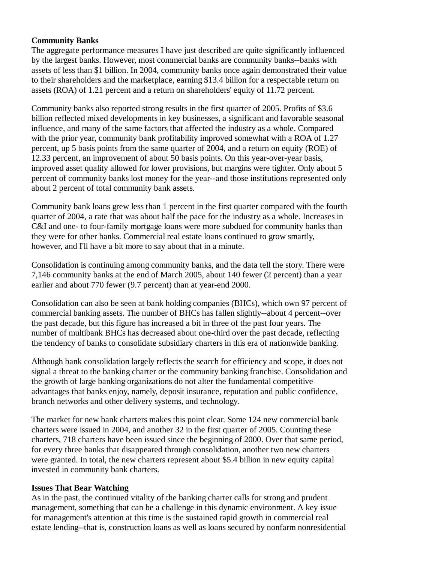#### **Community Banks**

The aggregate performance measures I have just described are quite significantly influenced by the largest banks. However, most commercial banks are community banks--banks with assets of less than \$1 billion. In 2004, community banks once again demonstrated their value to their shareholders and the marketplace, earning \$13.4 billion for a respectable return on assets (ROA) of 1.21 percent and a return on shareholders' equity of 11.72 percent.

Community banks also reported strong results in the first quarter of 2005. Profits of \$3.6 billion reflected mixed developments in key businesses, a significant and favorable seasonal influence, and many of the same factors that affected the industry as a whole. Compared with the prior year, community bank profitability improved somewhat with a ROA of 1.27 percent, up 5 basis points from the same quarter of 2004, and a return on equity (ROE) of 12.33 percent, an improvement of about 50 basis points. On this year-over-year basis, improved asset quality allowed for lower provisions, but margins were tighter. Only about 5 percent of community banks lost money for the year--and those institutions represented only about 2 percent of total community bank assets.

Community bank loans grew less than 1 percent in the first quarter compared with the fourth quarter of 2004, a rate that was about half the pace for the industry as a whole. Increases in C&I and one- to four-family mortgage loans were more subdued for community banks than they were for other banks. Commercial real estate loans continued to grow smartly, however, and I'll have a bit more to say about that in a minute.

Consolidation is continuing among community banks, and the data tell the story. There were 7,146 community banks at the end of March 2005, about 140 fewer (2 percent) than a year earlier and about 770 fewer (9.7 percent) than at year-end 2000.

Consolidation can also be seen at bank holding companies (BHCs), which own 97 percent of commercial banking assets. The number of BHCs has fallen slightly--about 4 percent--over the past decade, but this figure has increased a bit in three of the past four years. The number of multibank BHCs has decreased about one-third over the past decade, reflecting the tendency of banks to consolidate subsidiary charters in this era of nationwide banking.

Although bank consolidation largely reflects the search for efficiency and scope, it does not signal a threat to the banking charter or the community banking franchise. Consolidation and the growth of large banking organizations do not alter the fundamental competitive advantages that banks enjoy, namely, deposit insurance, reputation and public confidence, branch networks and other delivery systems, and technology.

The market for new bank charters makes this point clear. Some 124 new commercial bank charters were issued in 2004, and another 32 in the first quarter of 2005. Counting these charters, 718 charters have been issued since the beginning of 2000. Over that same period, for every three banks that disappeared through consolidation, another two new charters were granted. In total, the new charters represent about \$5.4 billion in new equity capital invested in community bank charters.

#### **Issues That Bear Watching**

As in the past, the continued vitality of the banking charter calls for strong and prudent management, something that can be a challenge in this dynamic environment. A key issue for management's attention at this time is the sustained rapid growth in commercial real estate lending--that is, construction loans as well as loans secured by nonfarm nonresidential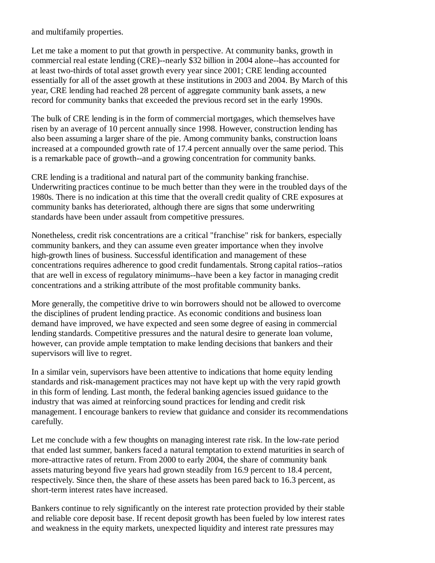and multifamily properties.

Let me take a moment to put that growth in perspective. At community banks, growth in commercial real estate lending (CRE)--nearly \$32 billion in 2004 alone--has accounted for at least two-thirds of total asset growth every year since 2001; CRE lending accounted essentially for all of the asset growth at these institutions in 2003 and 2004. By March of this year, CRE lending had reached 28 percent of aggregate community bank assets, a new record for community banks that exceeded the previous record set in the early 1990s.

The bulk of CRE lending is in the form of commercial mortgages, which themselves have risen by an average of 10 percent annually since 1998. However, construction lending has also been assuming a larger share of the pie. Among community banks, construction loans increased at a compounded growth rate of 17.4 percent annually over the same period. This is a remarkable pace of growth--and a growing concentration for community banks.

CRE lending is a traditional and natural part of the community banking franchise. Underwriting practices continue to be much better than they were in the troubled days of the 1980s. There is no indication at this time that the overall credit quality of CRE exposures at community banks has deteriorated, although there are signs that some underwriting standards have been under assault from competitive pressures.

Nonetheless, credit risk concentrations are a critical "franchise" risk for bankers, especially community bankers, and they can assume even greater importance when they involve high-growth lines of business. Successful identification and management of these concentrations requires adherence to good credit fundamentals. Strong capital ratios--ratios that are well in excess of regulatory minimums--have been a key factor in managing credit concentrations and a striking attribute of the most profitable community banks.

More generally, the competitive drive to win borrowers should not be allowed to overcome the disciplines of prudent lending practice. As economic conditions and business loan demand have improved, we have expected and seen some degree of easing in commercial lending standards. Competitive pressures and the natural desire to generate loan volume, however, can provide ample temptation to make lending decisions that bankers and their supervisors will live to regret.

In a similar vein, supervisors have been attentive to indications that home equity lending standards and risk-management practices may not have kept up with the very rapid growth in this form of lending. Last month, the federal banking agencies issued guidance to the industry that was aimed at reinforcing sound practices for lending and credit risk management. I encourage bankers to review that guidance and consider its recommendations carefully.

Let me conclude with a few thoughts on managing interest rate risk. In the low-rate period that ended last summer, bankers faced a natural temptation to extend maturities in search of more-attractive rates of return. From 2000 to early 2004, the share of community bank assets maturing beyond five years had grown steadily from 16.9 percent to 18.4 percent, respectively. Since then, the share of these assets has been pared back to 16.3 percent, as short-term interest rates have increased.

Bankers continue to rely significantly on the interest rate protection provided by their stable and reliable core deposit base. If recent deposit growth has been fueled by low interest rates and weakness in the equity markets, unexpected liquidity and interest rate pressures may